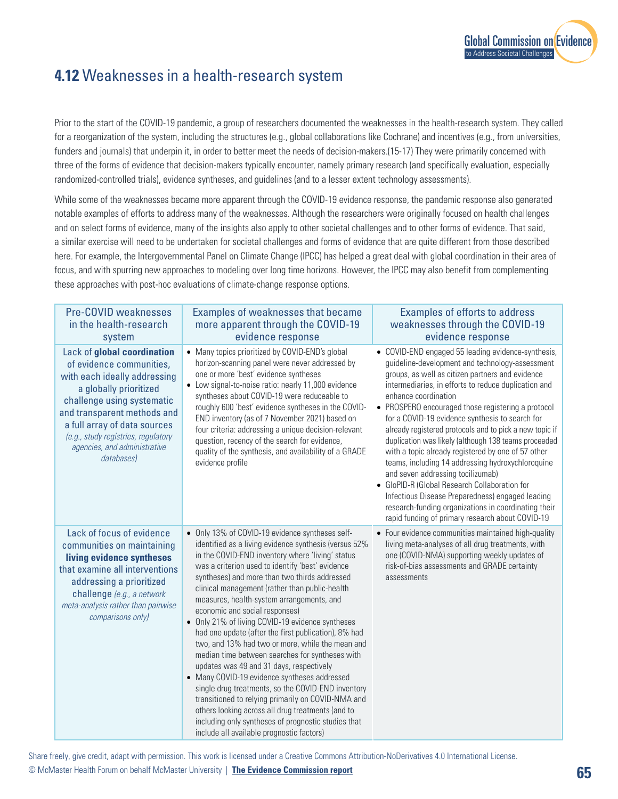

## **4.12** Weaknesses in a health-research system

Prior to the start of the COVID-19 pandemic, a group of researchers documented the weaknesses in the health-research system. They called for a reorganization of the system, including the structures (e.g., global collaborations like Cochrane) and incentives (e.g., from universities, funders and journals) that underpin it, in order to better meet the needs of decision-makers.(15-17) They were primarily concerned with three of the forms of evidence that decision-makers typically encounter, namely primary research (and specifically evaluation, especially randomized-controlled trials), evidence syntheses, and guidelines (and to a lesser extent technology assessments).

While some of the weaknesses became more apparent through the COVID-19 evidence response, the pandemic response also generated notable examples of efforts to address many of the weaknesses. Although the researchers were originally focused on health challenges and on select forms of evidence, many of the insights also apply to other societal challenges and to other forms of evidence. That said, a similar exercise will need to be undertaken for societal challenges and forms of evidence that are quite different from those described here. For example, the Intergovernmental Panel on Climate Change (IPCC) has helped a great deal with global coordination in their area of focus, and with spurring new approaches to modeling over long time horizons. However, the IPCC may also benefit from complementing these approaches with post-hoc evaluations of climate-change response options.

| <b>Pre-COVID weaknesses</b><br>in the health-research<br>system                                                                                                                                                                                                                                     | Examples of weaknesses that became<br>more apparent through the COVID-19<br>evidence response                                                                                                                                                                                                                                                                                                                                                                                                                                                                                                                                                                                                                                                                                                                                                                                                                                                                                          | <b>Examples of efforts to address</b><br>weaknesses through the COVID-19<br>evidence response                                                                                                                                                                                                                                                                                                                                                                                                                                                                                                                                                                                                                                                                                                                                          |
|-----------------------------------------------------------------------------------------------------------------------------------------------------------------------------------------------------------------------------------------------------------------------------------------------------|----------------------------------------------------------------------------------------------------------------------------------------------------------------------------------------------------------------------------------------------------------------------------------------------------------------------------------------------------------------------------------------------------------------------------------------------------------------------------------------------------------------------------------------------------------------------------------------------------------------------------------------------------------------------------------------------------------------------------------------------------------------------------------------------------------------------------------------------------------------------------------------------------------------------------------------------------------------------------------------|----------------------------------------------------------------------------------------------------------------------------------------------------------------------------------------------------------------------------------------------------------------------------------------------------------------------------------------------------------------------------------------------------------------------------------------------------------------------------------------------------------------------------------------------------------------------------------------------------------------------------------------------------------------------------------------------------------------------------------------------------------------------------------------------------------------------------------------|
| Lack of global coordination<br>of evidence communities,<br>with each ideally addressing<br>a globally prioritized<br>challenge using systematic<br>and transparent methods and<br>a full array of data sources<br>(e.g., study registries, regulatory<br>agencies, and administrative<br>databases) | • Many topics prioritized by COVID-END's global<br>horizon-scanning panel were never addressed by<br>one or more 'best' evidence syntheses<br>• Low signal-to-noise ratio: nearly 11,000 evidence<br>syntheses about COVID-19 were reduceable to<br>roughly 600 'best' evidence syntheses in the COVID-<br>END inventory (as of 7 November 2021) based on<br>four criteria: addressing a unique decision-relevant<br>question, recency of the search for evidence,<br>quality of the synthesis, and availability of a GRADE<br>evidence profile                                                                                                                                                                                                                                                                                                                                                                                                                                        | • COVID-END engaged 55 leading evidence-synthesis,<br>guideline-development and technology-assessment<br>groups, as well as citizen partners and evidence<br>intermediaries, in efforts to reduce duplication and<br>enhance coordination<br>• PROSPERO encouraged those registering a protocol<br>for a COVID-19 evidence synthesis to search for<br>already registered protocols and to pick a new topic if<br>duplication was likely (although 138 teams proceeded<br>with a topic already registered by one of 57 other<br>teams, including 14 addressing hydroxychloroquine<br>and seven addressing tocilizumab)<br>• GloPID-R (Global Research Collaboration for<br>Infectious Disease Preparedness) engaged leading<br>research-funding organizations in coordinating their<br>rapid funding of primary research about COVID-19 |
| Lack of focus of evidence<br>communities on maintaining<br>living evidence syntheses<br>that examine all interventions<br>addressing a prioritized<br>challenge (e.g., a network<br>meta-analysis rather than pairwise<br>comparisons only)                                                         | • Only 13% of COVID-19 evidence syntheses self-<br>identified as a living evidence synthesis (versus 52%<br>in the COVID-END inventory where 'living' status<br>was a criterion used to identify 'best' evidence<br>syntheses) and more than two thirds addressed<br>clinical management (rather than public-health<br>measures, health-system arrangements, and<br>economic and social responses)<br>• Only 21% of living COVID-19 evidence syntheses<br>had one update (after the first publication), 8% had<br>two, and 13% had two or more, while the mean and<br>median time between searches for syntheses with<br>updates was 49 and 31 days, respectively<br>• Many COVID-19 evidence syntheses addressed<br>single drug treatments, so the COVID-END inventory<br>transitioned to relying primarily on COVID-NMA and<br>others looking across all drug treatments (and to<br>including only syntheses of prognostic studies that<br>include all available prognostic factors) | • Four evidence communities maintained high-quality<br>living meta-analyses of all drug treatments, with<br>one (COVID-NMA) supporting weekly updates of<br>risk-of-bias assessments and GRADE certainty<br>assessments                                                                                                                                                                                                                                                                                                                                                                                                                                                                                                                                                                                                                |

Share freely, give credit, adapt with permission. This work is licensed under a Creative Commons Attribution-NoDerivatives 4.0 International License.